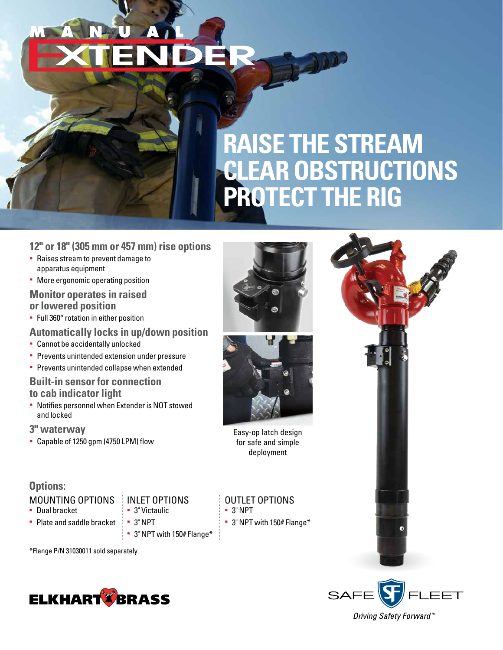# **RAISE THE STREAM CLEAR OBSTRUCTIONS PROTECT THE RIG**

#### **12" or 18" (305 mm or 457 mm) rise options**

- § Raises stream to prevent damage to apparatus equipment
- More ergonomic operating position

#### **Monitor operates in raised or lowered position**

§ Full 360° rotation in either position

#### **Automatically locks in up/down position**

- § Cannot be accidentally unlocked
- **Prevents unintended extension under pressure**
- **Prevents unintended collapse when extended**

#### **Built-in sensor for connection to cab indicator light**

§ Notifies personnel when Extender is NOT stowed and locked

#### **3" waterway**

§ Capable of 1250 gpm (4750 LPM) flow

### **Options:**

#### MOUNTING OPTIONS

- § Dual bracket
- § Plate and saddle bracket
- § 3" Victaulic § 3" NPT

INLET OPTIONS

§ 3" NPT with 150# Flange\*

\*Flange P/N 31030011 sold separately







Easy-op latch design for safe and simple deployment

#### OUTLET OPTIONS § 3" NPT

§ 3" NPT with 150# Flange\*